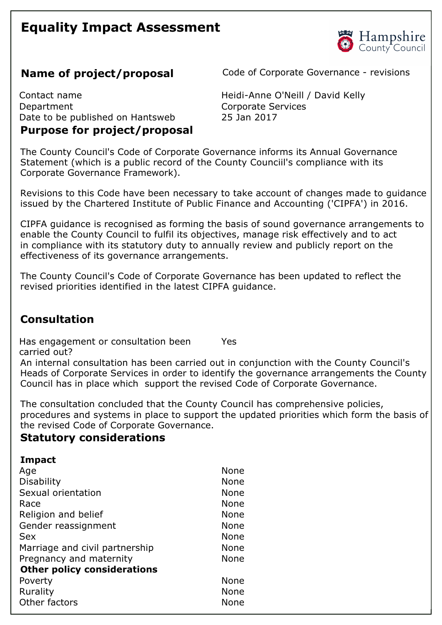# **Equality Impact Assessment**



**Name of project/proposal** Code of Corporate Governance - revisions

Contact name **Accord Contact name Contact name Accord Contact name Contact name Contact name Contact name Contact name Contact name Contact name Contact name Contact name Contact name Contact name** Department Corporate Services Date to be published on Hantsweb 25 Jan 2017 **Purpose for project/proposal** 

The County Council's Code of Corporate Governance informs its Annual Governance Statement (which is a public record of the County Counciil's compliance with its Corporate Governance Framework).

Revisions to this Code have been necessary to take account of changes made to guidance issued by the Chartered Institute of Public Finance and Accounting ('CIPFA') in 2016.

CIPFA guidance is recognised as forming the basis of sound governance arrangements to enable the County Council to fulfil its objectives, manage risk effectively and to act in compliance with its statutory duty to annually review and publicly report on the effectiveness of its governance arrangements.

The County Council's Code of Corporate Governance has been updated to reflect the revised priorities identified in the latest CIPFA guidance.

## **Consultation**

Has engagement or consultation been carried out? Yes

An internal consultation has been carried out in conjunction with the County Council's Heads of Corporate Services in order to identify the governance arrangements the County Council has in place which support the revised Code of Corporate Governance.

The consultation concluded that the County Council has comprehensive policies, procedures and systems in place to support the updated priorities which form the basis of the revised Code of Corporate Governance.

#### **Statutory considerations**

| <b>Impact</b> |
|---------------|
|               |

| Age                                | None        |
|------------------------------------|-------------|
| <b>Disability</b>                  | <b>None</b> |
| Sexual orientation                 | None        |
| Race                               | None        |
| Religion and belief                | None        |
| Gender reassignment                | <b>None</b> |
| Sex                                | <b>None</b> |
| Marriage and civil partnership     | None        |
| Pregnancy and maternity            | <b>None</b> |
| <b>Other policy considerations</b> |             |
| Poverty                            | <b>None</b> |
| Rurality                           | None        |
| Other factors                      | None        |